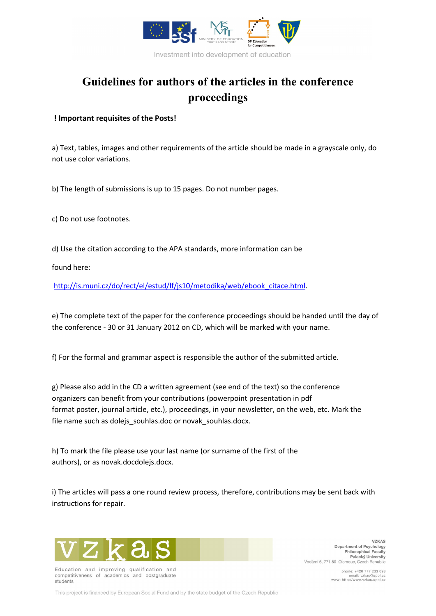

# **Guidelines for authors of the articles in the conference proceedings**

### **! Important requisites of the Posts!**

a) Text, tables, images and other requirements of the article should be made in a grayscale only, do not use color variations.

b) The length of submissions is up to 15 pages. Do not number pages.

c) Do not use footnotes.

d) Use the citation according to the APA standards, more information can be

found here:

http://is.muni.cz/do/rect/el/estud/lf/js10/metodika/web/ebook\_citace.html.

e) The complete text of the paper for the conference proceedings should be handed until the day of the conference - 30 or 31 January 2012 on CD, which will be marked with your name.

f) For the formal and grammar aspect is responsible the author of the submitted article.

g) Please also add in the CD a written agreement (see end of the text) so the conference organizers can benefit from your contributions (powerpoint presentation in pdf format poster, journal article, etc.), proceedings, in your newsletter, on the web, etc. Mark the file name such as dolejs souhlas.doc or novak souhlas.docx.

h) To mark the file please use your last name (or surname of the first of the authors), or as novak.docdolejs.docx.

i) The articles will pass a one round review process, therefore, contributions may be sent back with instructions for repair.



Education and improving qualification and competitiveness of academics and postgraduate students

**VZKAS** Department of Psychology Philosophical Faculty Palacký University Vodární 6, 771 80 Olomouc, Czech Republic

> phone: +420 777 233 098 email: vzkas@upol.cz<br>www: http://www.vzkas.upol.cz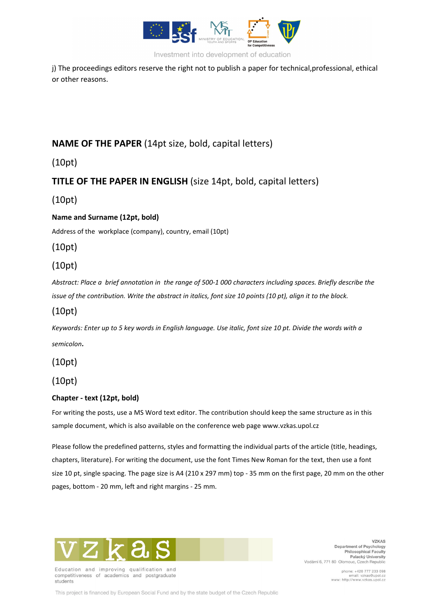

Investment into development of education

j) The proceedings editors reserve the right not to publish a paper for technical, professional, ethical or other reasons.

# **NAME OF THE PAPER** (14pt size, bold, capital letters)

(10pt)

# **TITLE OF THE PAPER IN ENGLISH** (size 14pt, bold, capital letters)

(10pt)

### **Name and Surname (12pt, bold)**

Address of the workplace (company), country, email (10pt)

(10pt)

# (10pt)

*Abstract: Place a brief annotation in the range of 500-1 000 characters including spaces. Briefly describe the issue of the contribution. Write the abstract in italics, font size 10 points (10 pt), align it to the block.* 

# (10pt)

*Keywords: Enter up to 5 key words in English language. Use italic, font size 10 pt. Divide the words with a semicolon.* 

(10pt)

## (10pt)

### **Chapter - text (12pt, bold)**

For writing the posts, use a MS Word text editor. The contribution should keep the same structure as in this sample document, which is also available on the conference web page www.vzkas.upol.cz

Please follow the predefined patterns, styles and formatting the individual parts of the article (title, headings, chapters, literature). For writing the document, use the font Times New Roman for the text, then use a font size 10 pt, single spacing. The page size is A4 (210 x 297 mm) top - 35 mm on the first page, 20 mm on the other pages, bottom - 20 mm, left and right margins - 25 mm.



Education and improving qualification and competitiveness of academics and postgraduate students

**VZKAS** Department of Psychology Philosophical Faculty<br>Palacký University Vodární 6, 771 80 Olomouc, Czech Republic

> phone: +420 777 233 098 email: vzkas@upol.cz<br>www: http://www.vzkas.upol.cz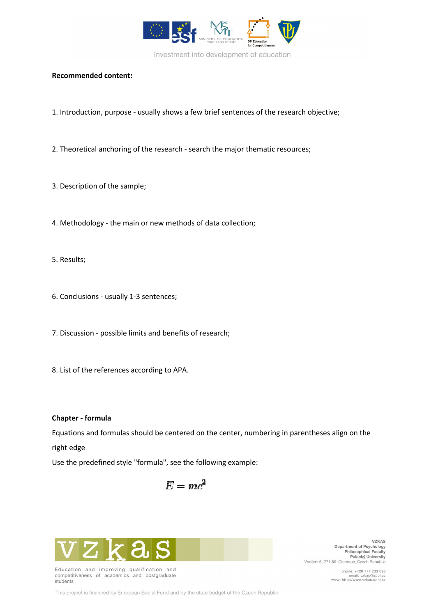

### **Recommended content:**

- 1. Introduction, purpose usually shows a few brief sentences of the research objective;
- 2. Theoretical anchoring of the research search the major thematic resources;
- 3. Description of the sample;
- 4. Methodology the main or new methods of data collection;
- 5. Results;
- 6. Conclusions usually 1-3 sentences;
- 7. Discussion possible limits and benefits of research;
- 8. List of the references according to APA.

#### **Chapter - formula**

Equations and formulas should be centered on the center, numbering in parentheses align on the right edge

Use the predefined style "formula", see the following example:

$$
E = mc^2
$$



Education and improving qualification and competitiveness of academics and postgraduate students

**VZKAS** Department of Psychology Philosophical Faculty<br>Palacký University Vodární 6, 771 80 Olomouc, Czech Republic

> phone: +420 777 233 098 email: vzkas@upol.cz<br>www: http://www.vzkas.upol.cz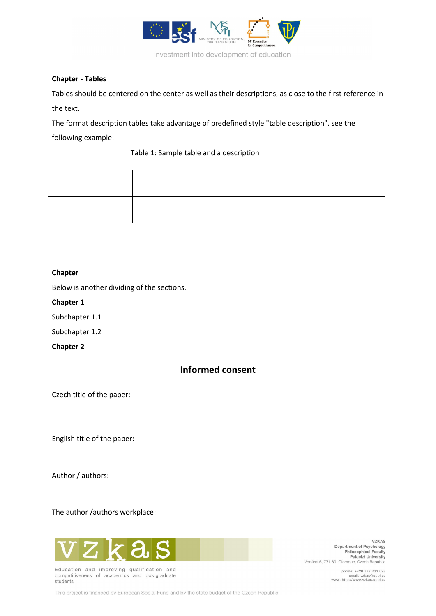

#### **Chapter - Tables**

Tables should be centered on the center as well as their descriptions, as close to the first reference in the text.

The format description tables take advantage of predefined style "table description", see the

following example:

### Table 1: Sample table and a description

### **Chapter**

Below is another dividing of the sections.

**Chapter 1**

Subchapter 1.1

Subchapter 1.2

**Chapter 2**

# **Informed consent**

Czech title of the paper:

English title of the paper:

Author / authors:

The author /authors workplace:



Education and improving qualification and competitiveness of academics and postgraduate students

**VZKAS** Department of Psychology Philosophical Faculty<br>Palacký University Vodární 6, 771 80 Olomouc, Czech Republic

> phone: +420 777 233 098 email: vzkas@upol.cz<br>www: http://www.vzkas.upol.cz